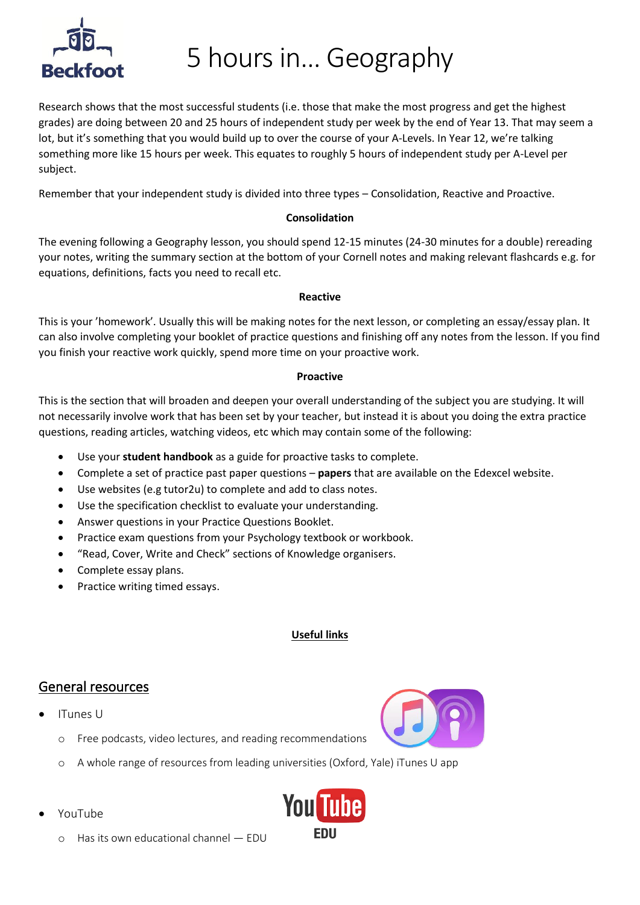

# 5 hours in… Geography

Research shows that the most successful students (i.e. those that make the most progress and get the highest grades) are doing between 20 and 25 hours of independent study per week by the end of Year 13. That may seem a lot, but it's something that you would build up to over the course of your A-Levels. In Year 12, we're talking something more like 15 hours per week. This equates to roughly 5 hours of independent study per A-Level per subject.

Remember that your independent study is divided into three types – Consolidation, Reactive and Proactive.

#### **Consolidation**

The evening following a Geography lesson, you should spend 12-15 minutes (24-30 minutes for a double) rereading your notes, writing the summary section at the bottom of your Cornell notes and making relevant flashcards e.g. for equations, definitions, facts you need to recall etc.

#### **Reactive**

This is your 'homework'. Usually this will be making notes for the next lesson, or completing an essay/essay plan. It can also involve completing your booklet of practice questions and finishing off any notes from the lesson. If you find you finish your reactive work quickly, spend more time on your proactive work.

#### **Proactive**

This is the section that will broaden and deepen your overall understanding of the subject you are studying. It will not necessarily involve work that has been set by your teacher, but instead it is about you doing the extra practice questions, reading articles, watching videos, etc which may contain some of the following:

- Use your **student handbook** as a guide for proactive tasks to complete.
- Complete a set of practice past paper questions **papers** that are available on the Edexcel website.
- Use websites (e.g tutor2u) to complete and add to class notes.
- Use the specification checklist to evaluate your understanding.
- Answer questions in your Practice Questions Booklet.
- Practice exam questions from your Psychology textbook or workbook.
- "Read, Cover, Write and Check" sections of Knowledge organisers.
- Complete essay plans.
- Practice writing timed essays.

## **Useful links**

## General resources

• ITunes U



- Free podcasts, video lectures, and reading recommendations
- o A whole range of resources from leading universities (Oxford, Yale) iTunes U app
- YouTube



o Has its own educational channel — EDU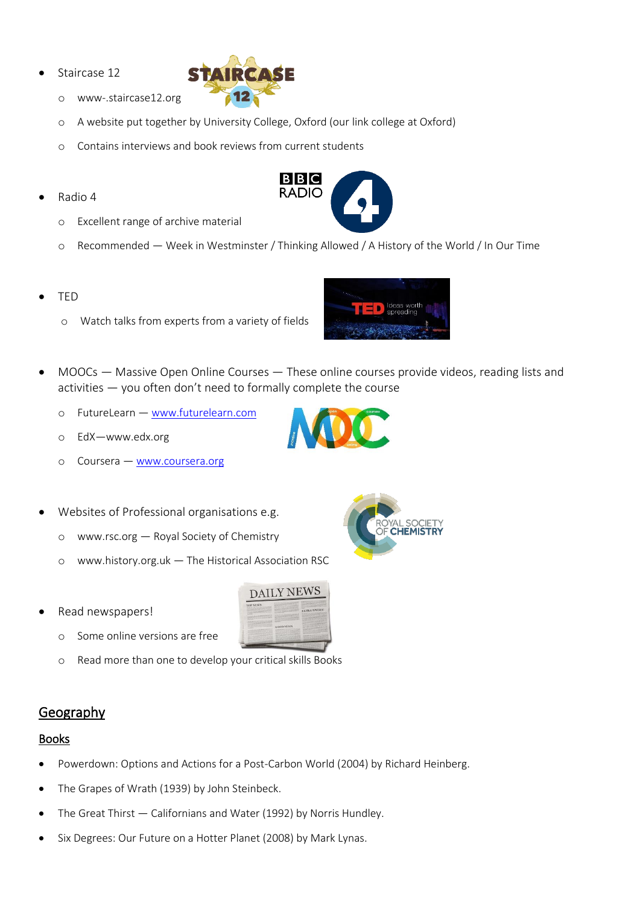Staircase 12



- o www-.staircase12.org
- o A website put together by University College, Oxford (our link college at Oxford)
- o Contains interviews and book reviews from current students
- Radio 4
	- o Excellent range of archive material
	- o Recommended Week in Westminster / Thinking Allowed / A History of the World / In Our Time

 $B|B|C$ **RADIO** 

- TED
	- o Watch talks from experts from a variety of fields



• MOOCs — Massive Open Online Courses — These online courses provide videos, reading lists and activities — you often don't need to formally complete the course

**DAILY NEWS** 

- o FutureLearn [www.futurelearn.com](file:///C:/Users/becljd/Downloads/www.futurelearn.com)
- o EdX—www.edx.org
- o Coursera [www.coursera.org](http://www.coursera.org/)
- Websites of Professional organisations e.g.
	- o www.rsc.org Royal Society of Chemistry
	- o www.history.org.uk The Historical Association RSC
- Read newspapers!



o Read more than one to develop your critical skills Books

# Geography

# Books

- Powerdown: Options and Actions for a Post-Carbon World (2004) by Richard Heinberg.
- The Grapes of Wrath (1939) by John Steinbeck.
- The Great Thirst Californians and Water (1992) by Norris Hundley.
- Six Degrees: Our Future on a Hotter Planet (2008) by Mark Lynas.